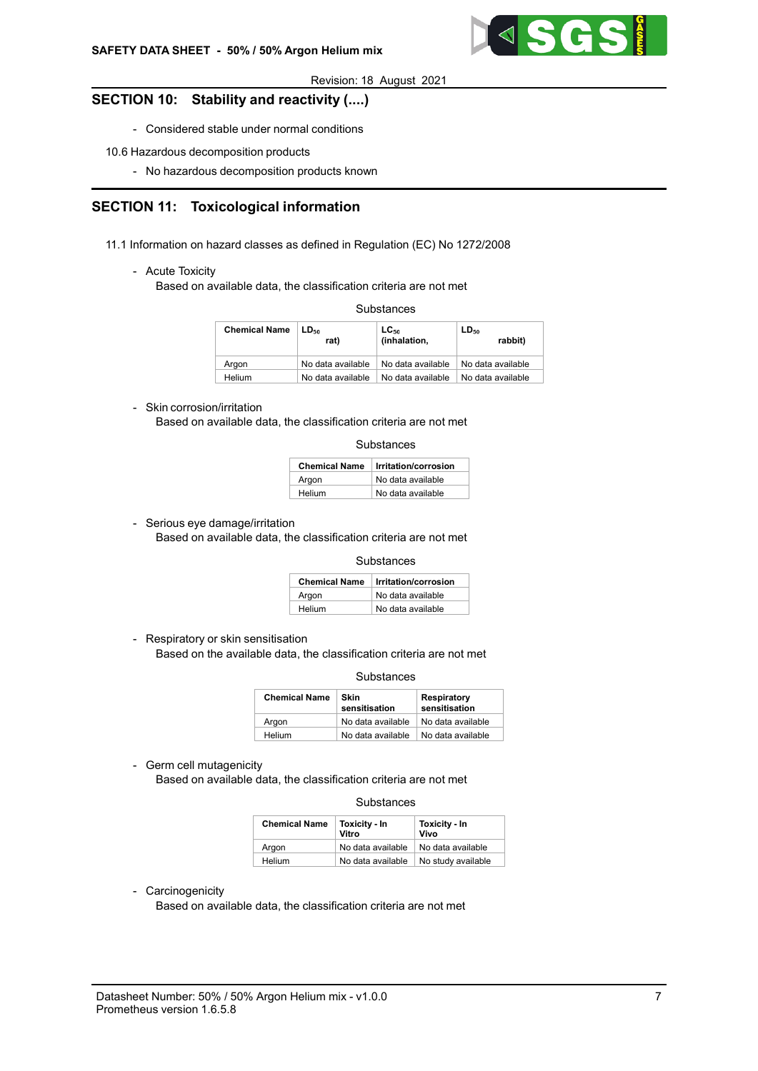

# SECTION 10: Stability and reactivity (....)

- Considered stable under normal conditions
- 10.6 Hazardous decomposition products
	- No hazardous decomposition products known

# SECTION 11: Toxicological information

- 11.1 Information on hazard classes as defined in Regulation (EC) No 1272/2008
	- Acute Toxicity

Based on available data, the classification criteria are not met

**Substances** 

| <b>Chemical Name</b> | LD <sub>50</sub><br>(oral, rat) | $LC_{50}$<br>(inhalation, rat) | LD <sub>50</sub><br>(dermal, rabbit) |
|----------------------|---------------------------------|--------------------------------|--------------------------------------|
| Araon                | No data available               | No data available              | No data available                    |
| Helium               | No data available               | No data available              | No data available                    |

### - Skin corrosion/irritation

Based on available data, the classification criteria are not met

| Substances |
|------------|
|------------|

| <b>Chemical Name</b> | Irritation/corrosion |
|----------------------|----------------------|
| Argon                | No data available    |
| Helium               | No data available    |

- Serious eye damage/irritation

Based on available data, the classification criteria are not met

**Substances** 

| <b>Chemical Name</b> | Irritation/corrosion |
|----------------------|----------------------|
| Argon                | No data available    |
| Helium               | No data available    |

- Respiratory or skin sensitisation

Based on the available data, the classification criteria are not met

**Substances** 

| <b>Chemical Name</b> | <b>Skin</b><br>sensitisation | <b>Respiratory</b><br>sensitisation |
|----------------------|------------------------------|-------------------------------------|
| Argon                | No data available            | No data available                   |
| Helium               | No data available            | No data available                   |

- Germ cell mutagenicity

Based on available data, the classification criteria are not met

#### **Substances**

| <b>Chemical Name</b> | <b>Toxicity - In</b><br>Vitro | Toxicity - In<br>Vivo |
|----------------------|-------------------------------|-----------------------|
| Araon                | No data available             | No data available     |
| Helium               | No data available             | No study available    |

- Carcinogenicity

Based on available data, the classification criteria are not met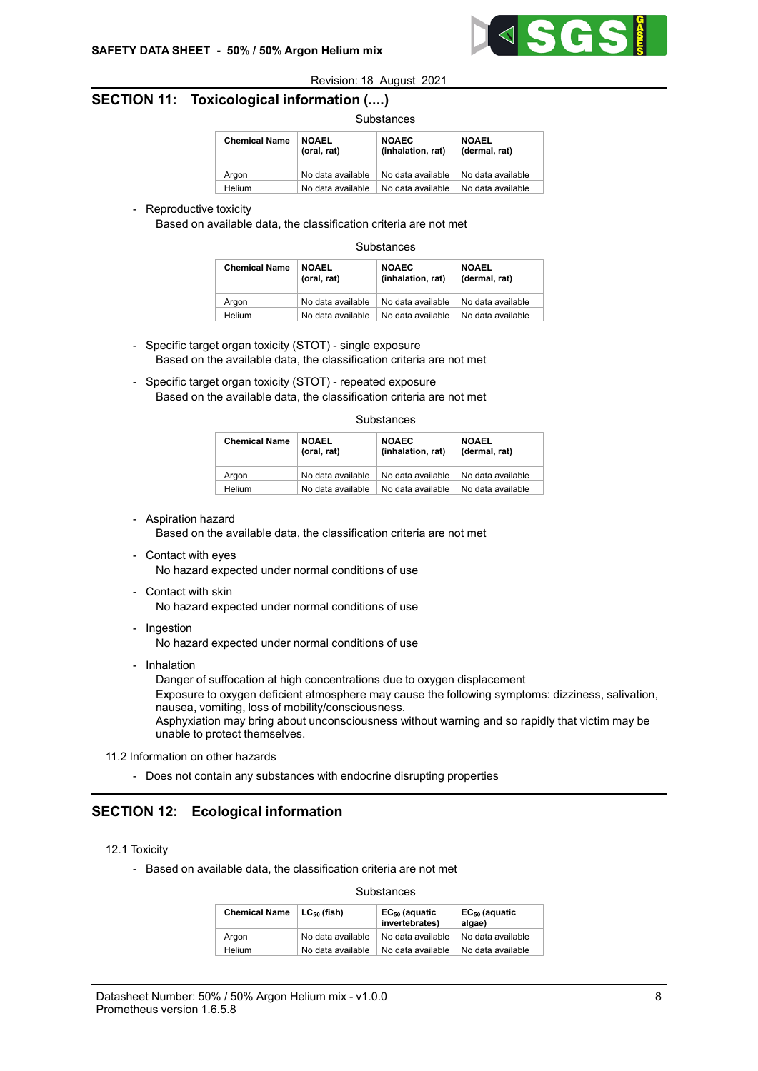

# SECTION 11: Toxicological information (....)

| <b>Chemical Name</b> | <b>NOAEL</b><br>(oral, rat) | <b>NOAEC</b><br>(inhalation, rat) | <b>NOAEL</b><br>(dermal, rat) |
|----------------------|-----------------------------|-----------------------------------|-------------------------------|
| Argon                | No data available           | No data available                 | No data available             |
| Helium               | No data available           | No data available                 | No data available             |

- Reproductive toxicity

Based on available data, the classification criteria are not met

**Substances** 

| <b>Chemical Name</b> | <b>NOAEL</b><br>(oral, rat) | <b>NOAEC</b><br>(inhalation, rat) | <b>NOAEL</b><br>(dermal, rat) |
|----------------------|-----------------------------|-----------------------------------|-------------------------------|
| Argon                | No data available           | No data available                 | No data available             |
| Helium               | No data available           | No data available                 | No data available             |

- Specific target organ toxicity (STOT) single exposure Based on the available data, the classification criteria are not met
- Specific target organ toxicity (STOT) repeated exposure Based on the available data, the classification criteria are not met

#### **Substances**

| <b>Chemical Name</b> | <b>NOAEL</b><br>(oral, rat) | <b>NOAEC</b><br>(inhalation, rat) | <b>NOAEL</b><br>(dermal, rat) |
|----------------------|-----------------------------|-----------------------------------|-------------------------------|
| Araon                | No data available           | No data available                 | No data available             |
| Helium               | No data available           | No data available                 | No data available             |

- Aspiration hazard

Based on the available data, the classification criteria are not met

- Contact with eyes No hazard expected under normal conditions of use
- Contact with skin No hazard expected under normal conditions of use
- Ingestion

No hazard expected under normal conditions of use

- Inhalation

Danger of suffocation at high concentrations due to oxygen displacement Exposure to oxygen deficient atmosphere may cause the following symptoms: dizziness, salivation, nausea, vomiting, loss of mobility/consciousness. Asphyxiation may bring about unconsciousness without warning and so rapidly that victim may be unable to protect themselves.

- 11.2 Information on other hazards
	- Does not contain any substances with endocrine disrupting properties

# SECTION 12: Ecological information

### 12.1 Toxicity

- Based on available data, the classification criteria are not met

#### **Substances**

| <b>Chemical Name</b> | $LC_{50}$ (fish)  | EC <sub>50</sub> (aquatic<br>invertebrates) | EC <sub>50</sub> (aquatic<br>algae) |
|----------------------|-------------------|---------------------------------------------|-------------------------------------|
| Araon                | No data available | No data available                           | No data available                   |
| Helium               | No data available | No data available                           | No data available                   |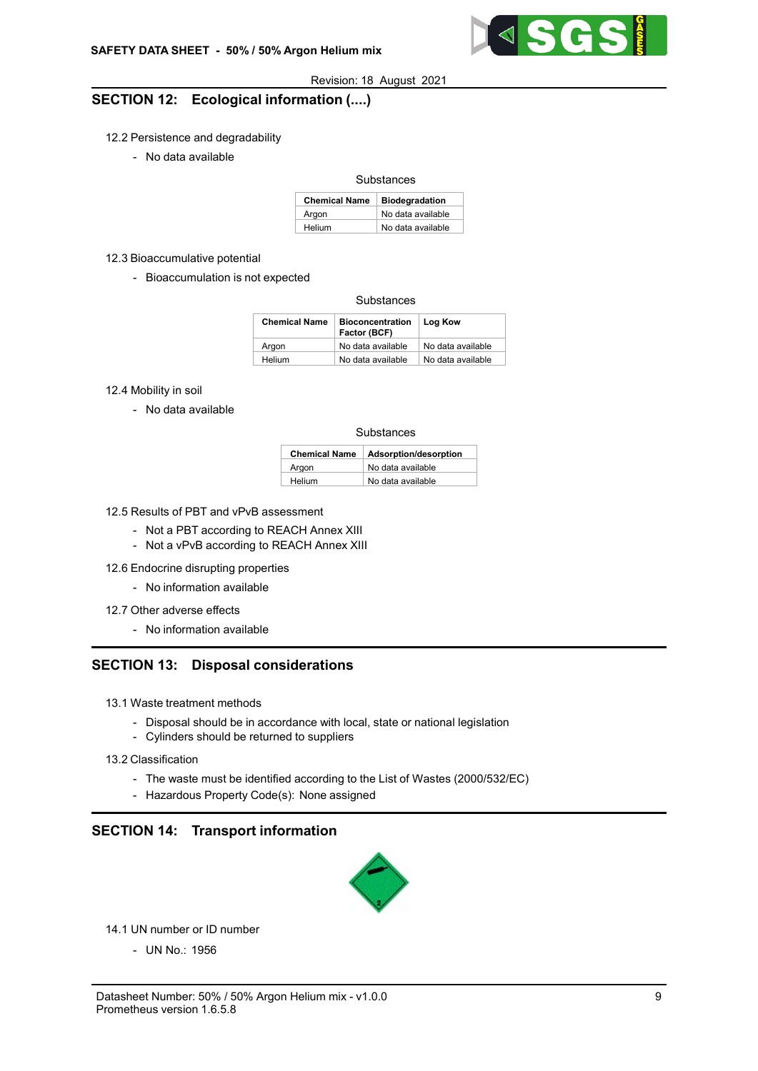

# SECTION 12: Ecological information (....)

### 12.2 Persistence and degradability

- No data available

### Substances

| <b>Chemical Name</b> | <b>Biodegradation</b> |
|----------------------|-----------------------|
| Argon                | No data available     |
| Helium               | No data available     |

#### 12.3 Bioaccumulative potential

- Bioaccumulation is not expected

### **Substances**

| <b>Chemical Name</b> | <b>Bioconcentration</b><br>Factor (BCF) | Log Kow           |
|----------------------|-----------------------------------------|-------------------|
| Argon                | No data available                       | No data available |
| Helium               | No data available                       | No data available |

12.4 Mobility in soil

- No data available

### **Substances**

| <b>Chemical Name</b> | Adsorption/desorption |
|----------------------|-----------------------|
| Argon                | No data available     |
| Helium               | No data available     |

12.5 Results of PBT and vPvB assessment

- Not a PBT according to REACH Annex XIII
- Not a vPvB according to REACH Annex XIII

12.6 Endocrine disrupting properties

- No information available
- 12.7 Other adverse effects
	- No information available

## SECTION 13: Disposal considerations

- 13.1 Waste treatment methods
	- Disposal should be in accordance with local, state or national legislation
	- Cylinders should be returned to suppliers
- 13.2 Classification
	- The waste must be identified according to the List of Wastes (2000/532/EC)
	- Hazardous Property Code(s): None assigned

# SECTION 14: Transport information



14.1 UN number or ID number

- UN No.: 1956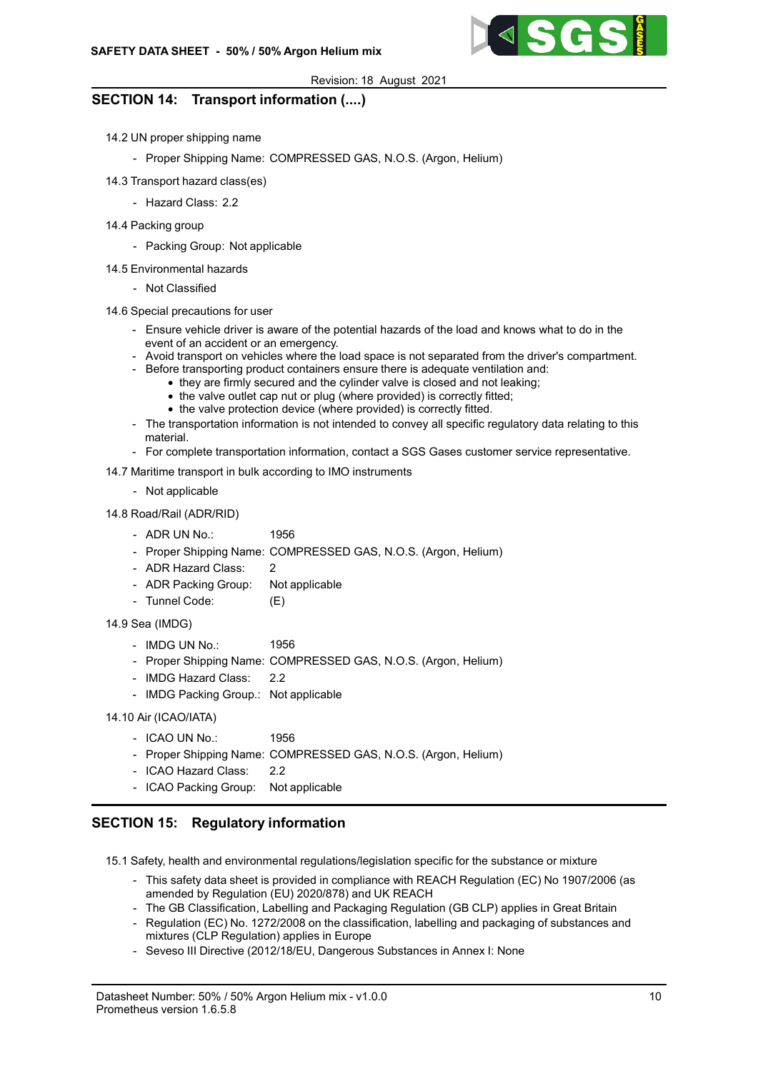

# SECTION 14: Transport information (....)

- 14.2 UN proper shipping name
	- Proper Shipping Name: COMPRESSED GAS, N.O.S. (Argon, Helium)
- 14.3 Transport hazard class(es)
	- Hazard Class: 2.2
- 14.4 Packing group
	- Packing Group: Not applicable
- 14.5 Environmental hazards
	- Not Classified
- 14.6 Special precautions for user
	- Ensure vehicle driver is aware of the potential hazards of the load and knows what to do in the event of an accident or an emergency.
	- Avoid transport on vehicles where the load space is not separated from the driver's compartment.
	- Before transporting product containers ensure there is adequate ventilation and:
		- they are firmly secured and the cylinder valve is closed and not leaking:
			- the valve outlet cap nut or plug (where provided) is correctly fitted;
			- the valve protection device (where provided) is correctly fitted.
	- The transportation information is not intended to convey all specific regulatory data relating to this material.
	- For complete transportation information, contact a SGS Gases customer service representative.

14.7 Maritime transport in bulk according to IMO instruments

- Not applicable

14.8 Road/Rail (ADR/RID)

- ADR UN No.: 1956
- Proper Shipping Name: COMPRESSED GAS, N.O.S. (Argon, Helium)
- ADR Hazard Class: 2
- ADR Packing Group: Not applicable
- Tunnel Code: (E)
- 14.9 Sea (IMDG)
	- 1956 - IMDG UN No.:
	- Proper Shipping Name: COMPRESSED GAS, N.O.S. (Argon, Helium)
	- 2.2 - IMDG Hazard Class:
	- IMDG Packing Group.: Not applicable

14.10 Air (ICAO/IATA)

- ICAO UN No.: 1956
- Proper Shipping Name: COMPRESSED GAS, N.O.S. (Argon, Helium)
- ICAO Hazard Class: 2.2
- ICAO Packing Group: Not applicable

# SECTION 15: Regulatory information

15.1 Safety, health and environmental regulations/legislation specific for the substance or mixture

- This safety data sheet is provided in compliance with REACH Regulation (EC) No 1907/2006 (as amended by Regulation (EU) 2020/878) and UK REACH
- The GB Classification, Labelling and Packaging Regulation (GB CLP) applies in Great Britain
- Regulation (EC) No. 1272/2008 on the classification, labelling and packaging of substances and mixtures (CLP Regulation) applies in Europe
- Seveso III Directive (2012/18/EU, Dangerous Substances in Annex I: None